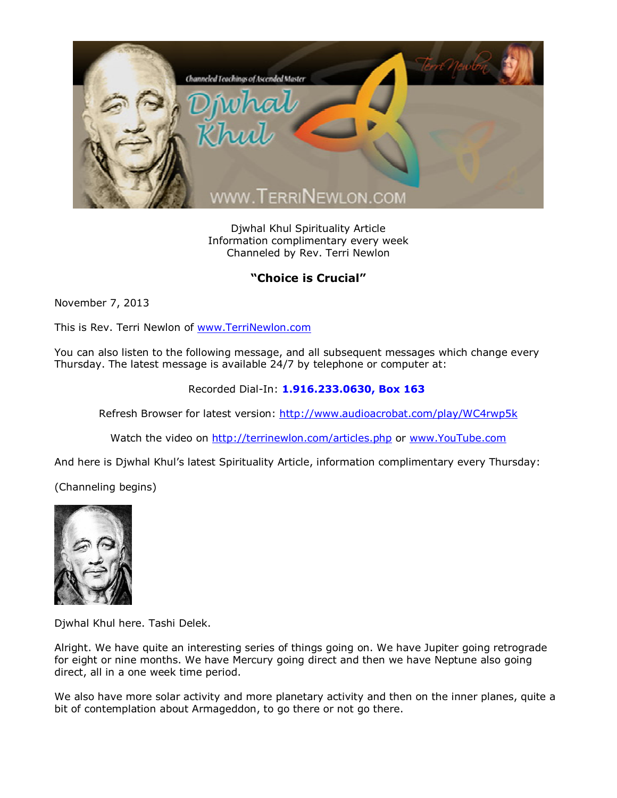

Djwhal Khul Spirituality Article Information complimentary every week Channeled by Rev. Terri Newlon

## **"Choice is Crucial"**

November 7, 2013

This is Rev. Terri Newlon of [www.TerriNewlon.com](http://www.terrinewlon.com/)

You can also listen to the following message, and all subsequent messages which change every Thursday. The latest message is available 24/7 by telephone or computer at:

## Recorded Dial-In: **1.916.233.0630, Box 163**

Refresh Browser for latest version: <http://www.audioacrobat.com/play/WC4rwp5k>

Watch the video on <http://terrinewlon.com/articles.php> or [www.YouTube.com](http://www.youtube.com/)

And here is Djwhal Khul's latest Spirituality Article, information complimentary every Thursday:

(Channeling begins)



Djwhal Khul here. Tashi Delek.

Alright. We have quite an interesting series of things going on. We have Jupiter going retrograde for eight or nine months. We have Mercury going direct and then we have Neptune also going direct, all in a one week time period.

We also have more solar activity and more planetary activity and then on the inner planes, quite a bit of contemplation about Armageddon, to go there or not go there.